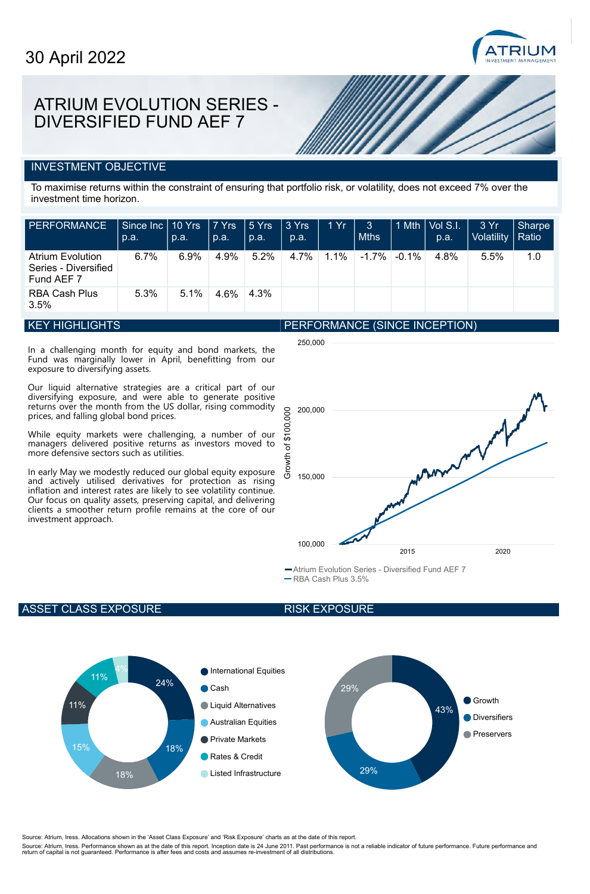

# ATRIUM EVOLUTION SERIES - DIVERSIFIED FUND AEF 7

### INVESTMENT OBJECTIVE

To maximise returns within the constraint of ensuring that portfolio risk, or volatility, does not exceed 7% over the investment time horizon.

| <b>PERFORMANCE</b>                                            | Since Inc 10 Yrs<br>p.a. | p.a. | $ 7 Y$ rs<br>p.a. | $\sqrt{5 \text{ Yrs}}$<br>$\Box$ p.a. | 3 Yrs<br>p.a. | 1Yr     | 3<br><b>Mths</b> |          | $1$ Mth $ \overline{\text{Vol S.I.}} $<br>p.a. | 3 Yr<br>Volatility   Ratio | Sharpe |
|---------------------------------------------------------------|--------------------------|------|-------------------|---------------------------------------|---------------|---------|------------------|----------|------------------------------------------------|----------------------------|--------|
| <b>Atrium Evolution</b><br>Series - Diversified<br>Fund AEF 7 | $6.7\%$                  | 6.9% | 4.9%              | 5.2%                                  | 4.7%          | $1.1\%$ | $-1.7\%$         | $-0.1\%$ | 4.8%                                           | 5.5%                       | 1.0    |
| <b>RBA Cash Plus</b><br>3.5%                                  | 5.3%                     | 5.1% | 4.6%              | 4.3%                                  |               |         |                  |          |                                                |                            |        |

250,000

#### KEY HIGHLIGHTS

In a challenging month for equity and bond markets, the Fund was marginally lower in April, benefitting from our exposure to diversifying assets.

Our liquid alternative strategies are a critical part of our diversifying exposure, and were able to generate positive returns over the month from the US dollar, rising commodity prices, and falling global bond prices.

While equity markets were challenging, a number of our managers delivered positive returns as investors moved to more defensive sectors such as utilities.

In early May we modestly reduced our global equity exposure and actively utilised derivatives for protection as rising inflation and interest rates are likely to see volatility continue. Our focus on quality assets, preserving capital, and delivering clients a smoother return profile remains at the core of our investment approach.





Atrium Evolution Series - Diversified Fund AEF 7

RBA Cash Plus 3.5%

### ASSET CLASS EXPOSURE





Source: Atrium, Iress. Allocations shown in the 'Asset Class Exposure' and 'Risk Exposure' charts as at the date of this report.

Source: Atrium, Iress. Performance shown as at the date of this report. Inception date is 24 June 2011. Past performance is not a reliable indicator of future performance. Future performance and<br>return of capital is not gu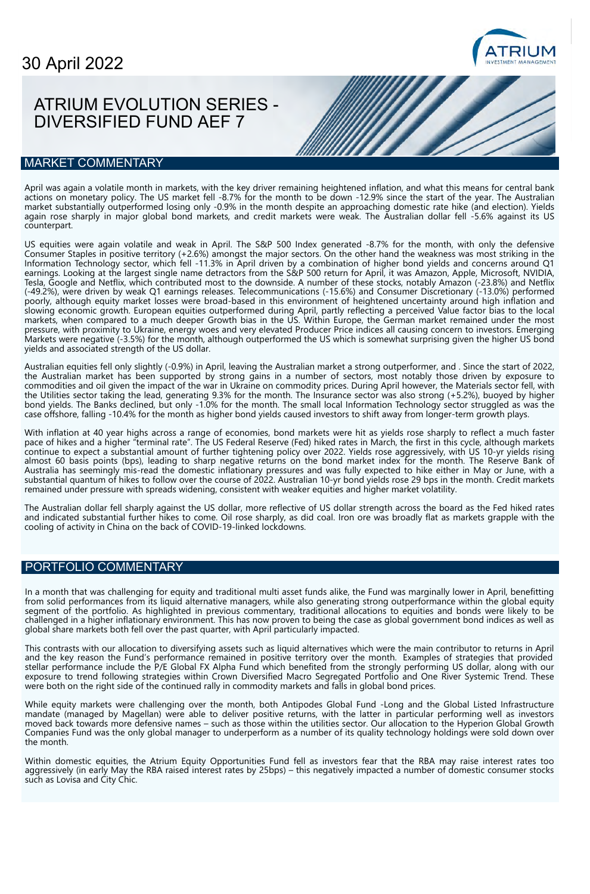

# ATRIUM EVOLUTION SERIES - DIVERSIFIED FUND AEF 7

#### MARKET COMMENTARY

April was again a volatile month in markets, with the key driver remaining heightened inflation, and what this means for central bank actions on monetary policy. The US market fell -8.7% for the month to be down -12.9% since the start of the year. The Australian market substantially outperformed losing only -0.9% in the month despite an approaching domestic rate hike (and election). Yields again rose sharply in major global bond markets, and credit markets were weak. The Australian dollar fell -5.6% against its US counterpart.

US equities were again volatile and weak in April. The S&P 500 Index generated -8.7% for the month, with only the defensive Consumer Staples in positive territory (+2.6%) amongst the major sectors. On the other hand the weakness was most striking in the Information Technology sector, which fell -11.3% in April driven by a combination of higher bond yields and concerns around Q1 earnings. Looking at the largest single name detractors from the S&P 500 return for April, it was Amazon, Apple, Microsoft, NVIDIA, Tesla, Google and Netflix, which contributed most to the downside. A number of these stocks, notably Amazon (-23.8%) and Netflix (-49.2%), were driven by weak Q1 earnings releases. Telecommunications (-15.6%) and Consumer Discretionary (-13.0%) performed poorly, although equity market losses were broad-based in this environment of heightened uncertainty around high inflation and slowing economic growth. European equities outperformed during April, partly reflecting a perceived Value factor bias to the local markets, when compared to a much deeper Growth bias in the US. Within Europe, the German market remained under the most pressure, with proximity to Ukraine, energy woes and very elevated Producer Price indices all causing concern to investors. Emerging Markets were negative (-3.5%) for the month, although outperformed the US which is somewhat surprising given the higher US bond yields and associated strength of the US dollar.

Australian equities fell only slightly (-0.9%) in April, leaving the Australian market a strong outperformer, and . Since the start of 2022, the Australian market has been supported by strong gains in a number of sectors, most notably those driven by exposure to commodities and oil given the impact of the war in Ukraine on commodity prices. During April however, the Materials sector fell, with the Utilities sector taking the lead, generating 9.3% for the month. The Insurance sector was also strong (+5.2%), buoyed by higher bond yields. The Banks declined, but only -1.0% for the month. The small local Information Technology sector struggled as was the case offshore, falling -10.4% for the month as higher bond yields caused investors to shift away from longer-term growth plays.

With inflation at 40 year highs across a range of economies, bond markets were hit as yields rose sharply to reflect a much faster pace of hikes and a higher "terminal rate". The US Federal Reserve (Fed) hiked rates in March, the first in this cycle, although markets continue to expect a substantial amount of further tightening policy over 2022. Yields rose aggressively, with US 10-yr yields rising almost 60 basis points (bps), leading to sharp negative returns on the bond market index for the month. The Reserve Bank of Australia has seemingly mis-read the domestic inflationary pressures and was fully expected to hike either in May or June, with a substantial quantum of hikes to follow over the course of 2022. Australian 10-yr bond yields rose 29 bps in the month. Credit markets remained under pressure with spreads widening, consistent with weaker equities and higher market volatility.

The Australian dollar fell sharply against the US dollar, more reflective of US dollar strength across the board as the Fed hiked rates and indicated substantial further hikes to come. Oil rose sharply, as did coal. Iron ore was broadly flat as markets grapple with the cooling of activity in China on the back of COVID-19-linked lockdowns.

### PORTFOLIO COMMENTARY

In a month that was challenging for equity and traditional multi asset funds alike, the Fund was marginally lower in April, benefitting from solid performances from its liquid alternative managers, while also generating strong outperformance within the global equity segment of the portfolio. As highlighted in previous commentary, traditional allocations to equities and bonds were likely to be challenged in a higher inflationary environment. This has now proven to being the case as global government bond indices as well as global share markets both fell over the past quarter, with April particularly impacted.

This contrasts with our allocation to diversifying assets such as liquid alternatives which were the main contributor to returns in April and the key reason the Fund's performance remained in positive territory over the month. Examples of strategies that provided stellar performance include the P/E Global FX Alpha Fund which benefited from the strongly performing US dollar, along with our exposure to trend following strategies within Crown Diversified Macro Segregated Portfolio and One River Systemic Trend. These were both on the right side of the continued rally in commodity markets and falls in global bond prices.

While equity markets were challenging over the month, both Antipodes Global Fund -Long and the Global Listed Infrastructure mandate (managed by Magellan) were able to deliver positive returns, with the latter in particular performing well as investors moved back towards more defensive names – such as those within the utilities sector. Our allocation to the Hyperion Global Growth Companies Fund was the only global manager to underperform as a number of its quality technology holdings were sold down over the month.

Within domestic equities, the Atrium Equity Opportunities Fund fell as investors fear that the RBA may raise interest rates too aggressively (in early May the RBA raised interest rates by 25bps) – this negatively impacted a number of domestic consumer stocks such as Lovisa and City Chic.